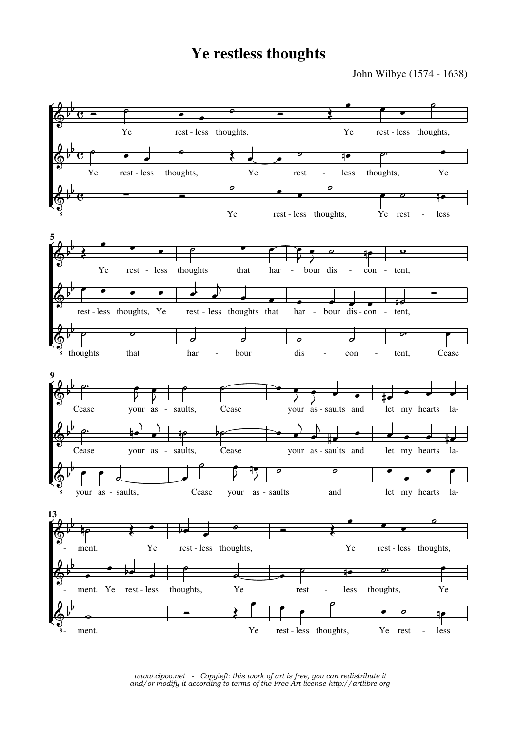## **Ye restless thoughts**

John Wilbye (1574 - 1638)



*www.cipoo.net - Copyleft: this work of art is free, you can redistribute it and/or modify it according to terms of the Free Art license http://artlibre.org*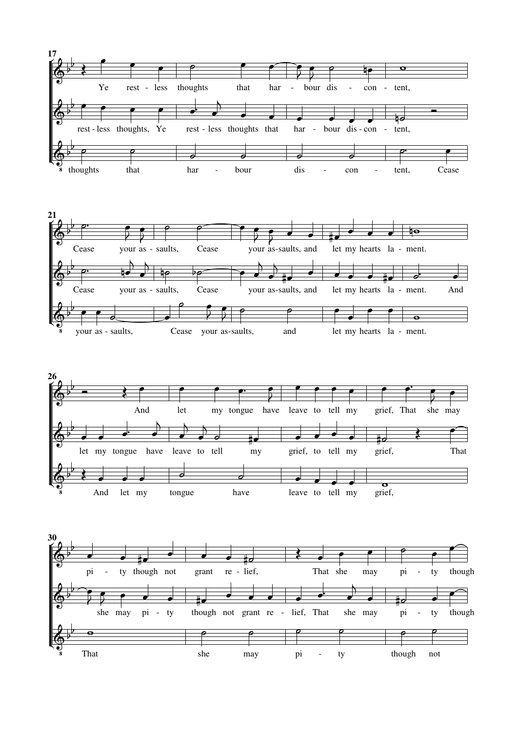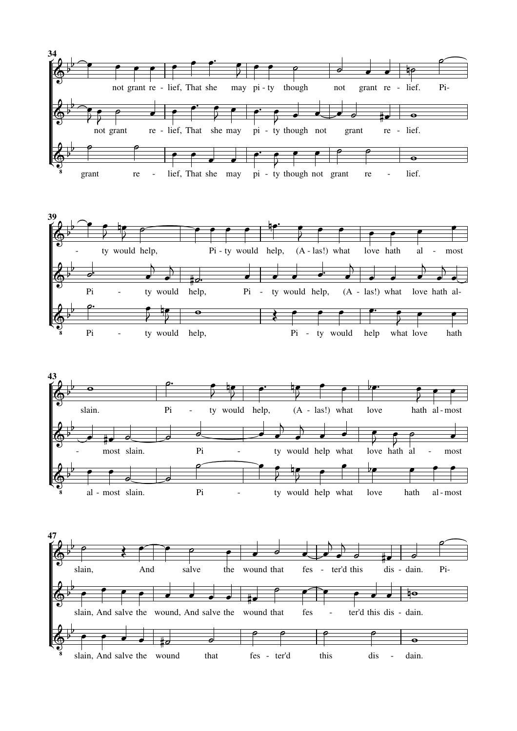